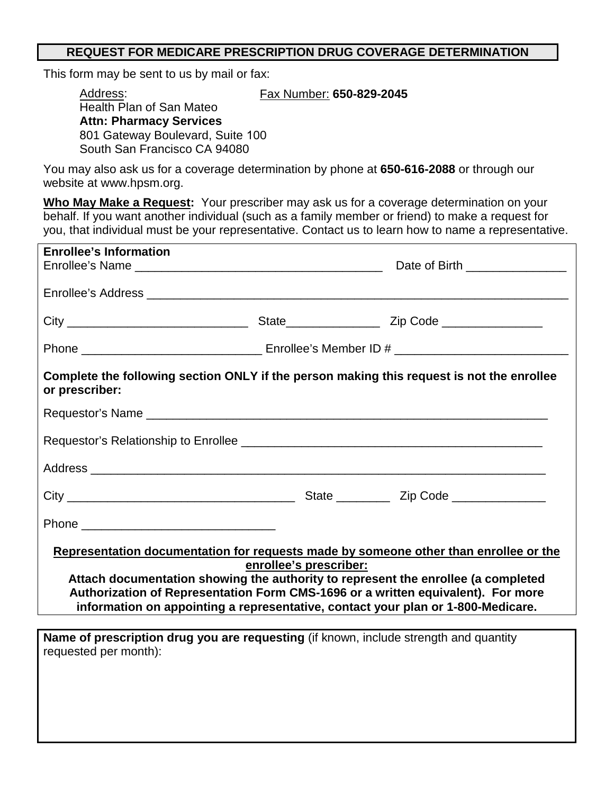## **REQUEST FOR MEDICARE PRESCRIPTION DRUG COVERAGE DETERMINATION**

This form may be sent to us by mail or fax:

Address: Fax Number: **650-829-2045**

| , www.oo.<br>.                   |  |
|----------------------------------|--|
| Health Plan of San Mateo         |  |
| <b>Attn: Pharmacy Services</b>   |  |
| 801 Gateway Boulevard, Suite 100 |  |
| South San Francisco CA 94080     |  |
|                                  |  |

You may also ask us for a coverage determination by phone at **650-616-2088** or through our website at www.hpsm.org.

**Who May Make a Request:** Your prescriber may ask us for a coverage determination on your behalf. If you want another individual (such as a family member or friend) to make a request for you, that individual must be your representative. Contact us to learn how to name a representative.

| Date of Birth _______________                                                                                                                                                                                                                                                                                                                                               |  |  |  |  |  |  |  |
|-----------------------------------------------------------------------------------------------------------------------------------------------------------------------------------------------------------------------------------------------------------------------------------------------------------------------------------------------------------------------------|--|--|--|--|--|--|--|
|                                                                                                                                                                                                                                                                                                                                                                             |  |  |  |  |  |  |  |
|                                                                                                                                                                                                                                                                                                                                                                             |  |  |  |  |  |  |  |
|                                                                                                                                                                                                                                                                                                                                                                             |  |  |  |  |  |  |  |
| Complete the following section ONLY if the person making this request is not the enrollee<br>or prescriber:                                                                                                                                                                                                                                                                 |  |  |  |  |  |  |  |
|                                                                                                                                                                                                                                                                                                                                                                             |  |  |  |  |  |  |  |
|                                                                                                                                                                                                                                                                                                                                                                             |  |  |  |  |  |  |  |
|                                                                                                                                                                                                                                                                                                                                                                             |  |  |  |  |  |  |  |
|                                                                                                                                                                                                                                                                                                                                                                             |  |  |  |  |  |  |  |
|                                                                                                                                                                                                                                                                                                                                                                             |  |  |  |  |  |  |  |
| Representation documentation for requests made by someone other than enrollee or the<br>enrollee's prescriber:<br>Attach documentation showing the authority to represent the enrollee (a completed<br>Authorization of Representation Form CMS-1696 or a written equivalent). For more<br>information on appointing a representative, contact your plan or 1-800-Medicare. |  |  |  |  |  |  |  |
|                                                                                                                                                                                                                                                                                                                                                                             |  |  |  |  |  |  |  |
|                                                                                                                                                                                                                                                                                                                                                                             |  |  |  |  |  |  |  |
|                                                                                                                                                                                                                                                                                                                                                                             |  |  |  |  |  |  |  |
| Name of prescription drug you are requesting (if known, include strength and quantity<br>requested per month):                                                                                                                                                                                                                                                              |  |  |  |  |  |  |  |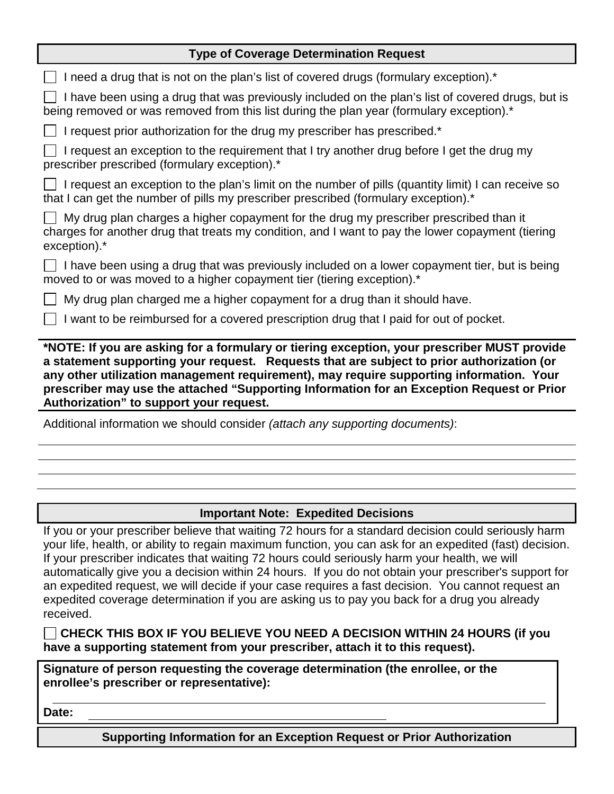## **Type of Coverage Determination Request**

| I need a drug that is not on the plan's list of covered drugs (formulary exception).*                                                                                                                                                                                                                                                                                                                                       |  |  |  |  |
|-----------------------------------------------------------------------------------------------------------------------------------------------------------------------------------------------------------------------------------------------------------------------------------------------------------------------------------------------------------------------------------------------------------------------------|--|--|--|--|
| I have been using a drug that was previously included on the plan's list of covered drugs, but is<br>being removed or was removed from this list during the plan year (formulary exception).*                                                                                                                                                                                                                               |  |  |  |  |
| I request prior authorization for the drug my prescriber has prescribed.*                                                                                                                                                                                                                                                                                                                                                   |  |  |  |  |
| I request an exception to the requirement that I try another drug before I get the drug my<br>prescriber prescribed (formulary exception).*                                                                                                                                                                                                                                                                                 |  |  |  |  |
| I request an exception to the plan's limit on the number of pills (quantity limit) I can receive so<br>that I can get the number of pills my prescriber prescribed (formulary exception).*                                                                                                                                                                                                                                  |  |  |  |  |
| My drug plan charges a higher copayment for the drug my prescriber prescribed than it<br>charges for another drug that treats my condition, and I want to pay the lower copayment (tiering<br>exception).*                                                                                                                                                                                                                  |  |  |  |  |
| $\Box$ I have been using a drug that was previously included on a lower copayment tier, but is being<br>moved to or was moved to a higher copayment tier (tiering exception).*                                                                                                                                                                                                                                              |  |  |  |  |
| My drug plan charged me a higher copayment for a drug than it should have.                                                                                                                                                                                                                                                                                                                                                  |  |  |  |  |
| I want to be reimbursed for a covered prescription drug that I paid for out of pocket.                                                                                                                                                                                                                                                                                                                                      |  |  |  |  |
| *NOTE: If you are asking for a formulary or tiering exception, your prescriber MUST provide<br>a statement supporting your request. Requests that are subject to prior authorization (or<br>any other utilization management requirement), may require supporting information. Your<br>prescriber may use the attached "Supporting Information for an Exception Request or Prior<br>Authorization" to support your request. |  |  |  |  |
| Additional information we should consider (attach any supporting documents):                                                                                                                                                                                                                                                                                                                                                |  |  |  |  |
|                                                                                                                                                                                                                                                                                                                                                                                                                             |  |  |  |  |
|                                                                                                                                                                                                                                                                                                                                                                                                                             |  |  |  |  |
|                                                                                                                                                                                                                                                                                                                                                                                                                             |  |  |  |  |
| <b>Important Note: Expedited Decisions</b>                                                                                                                                                                                                                                                                                                                                                                                  |  |  |  |  |
|                                                                                                                                                                                                                                                                                                                                                                                                                             |  |  |  |  |

If you or your prescriber believe that waiting 72 hours for a standard decision could seriously harm your life, health, or ability to regain maximum function, you can ask for an expedited (fast) decision. If your prescriber indicates that waiting 72 hours could seriously harm your health, we will automatically give you a decision within 24 hours. If you do not obtain your prescriber's support for an expedited request, we will decide if your case requires a fast decision. You cannot request an expedited coverage determination if you are asking us to pay you back for a drug you already received.

**CHECK THIS BOX IF YOU BELIEVE YOU NEED A DECISION WITHIN 24 HOURS (if you have a supporting statement from your prescriber, attach it to this request).**

**Signature of person requesting the coverage determination (the enrollee, or the enrollee's prescriber or representative):** 

**Date:**

**Supporting Information for an Exception Request or Prior Authorization**